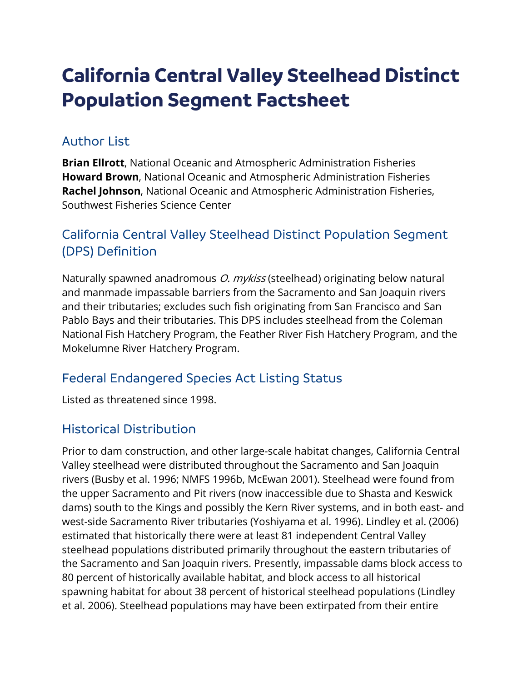# **California Central Valley Steelhead Distinct Population Segment Factsheet**

#### Author List

**Brian Ellrott**, National Oceanic and Atmospheric Administration Fisheries **Howard Brown**, National Oceanic and Atmospheric Administration Fisheries **Rachel Johnson**, National Oceanic and Atmospheric Administration Fisheries, Southwest Fisheries Science Center

## California Central Valley Steelhead Distinct Population Segment (DPS) Definition

Naturally spawned anadromous *O. mykiss* (steelhead) originating below natural and manmade impassable barriers from the Sacramento and San Joaquin rivers and their tributaries; excludes such fish originating from San Francisco and San Pablo Bays and their tributaries. This DPS includes steelhead from the Coleman National Fish Hatchery Program, the Feather River Fish Hatchery Program, and the Mokelumne River Hatchery Program.

#### Federal Endangered Species Act Listing Status

Listed as threatened since 1998.

#### Historical Distribution

Prior to dam construction, and other large-scale habitat changes, California Central Valley steelhead were distributed throughout the Sacramento and San Joaquin rivers (Busby et al. 1996; NMFS 1996b, McEwan 2001). Steelhead were found from the upper Sacramento and Pit rivers (now inaccessible due to Shasta and Keswick dams) south to the Kings and possibly the Kern River systems, and in both east- and west-side Sacramento River tributaries (Yoshiyama et al. 1996). Lindley et al. (2006) estimated that historically there were at least 81 independent Central Valley steelhead populations distributed primarily throughout the eastern tributaries of the Sacramento and San Joaquin rivers. Presently, impassable dams block access to 80 percent of historically available habitat, and block access to all historical spawning habitat for about 38 percent of historical steelhead populations (Lindley et al. 2006). Steelhead populations may have been extirpated from their entire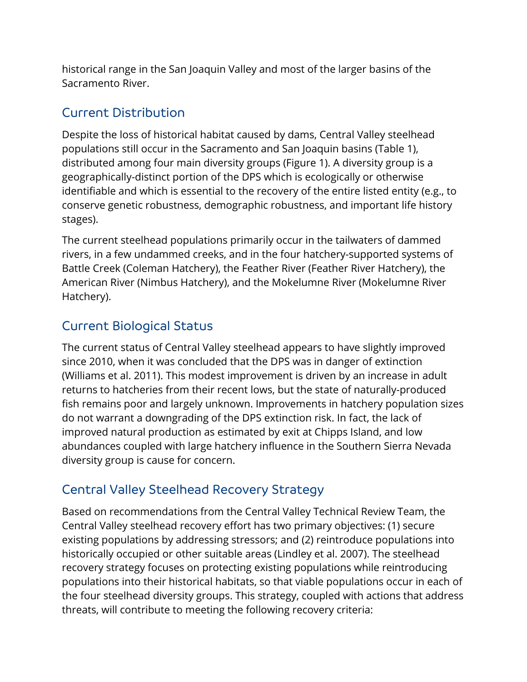historical range in the San Joaquin Valley and most of the larger basins of the Sacramento River.

#### Current Distribution

Despite the loss of historical habitat caused by dams, Central Valley steelhead populations still occur in the Sacramento and San Joaquin basins (Table 1), distributed among four main diversity groups (Figure 1). A diversity group is a geographically-distinct portion of the DPS which is ecologically or otherwise identifiable and which is essential to the recovery of the entire listed entity (e.g., to conserve genetic robustness, demographic robustness, and important life history stages).

The current steelhead populations primarily occur in the tailwaters of dammed rivers, in a few undammed creeks, and in the four hatchery-supported systems of Battle Creek (Coleman Hatchery), the Feather River (Feather River Hatchery), the American River (Nimbus Hatchery), and the Mokelumne River (Mokelumne River Hatchery).

## Current Biological Status

The current status of Central Valley steelhead appears to have slightly improved since 2010, when it was concluded that the DPS was in danger of extinction (Williams et al. 2011). This modest improvement is driven by an increase in adult returns to hatcheries from their recent lows, but the state of naturally-produced fish remains poor and largely unknown. Improvements in hatchery population sizes do not warrant a downgrading of the DPS extinction risk. In fact, the lack of improved natural production as estimated by exit at Chipps Island, and low abundances coupled with large hatchery influence in the Southern Sierra Nevada diversity group is cause for concern.

## Central Valley Steelhead Recovery Strategy

Based on recommendations from the Central Valley Technical Review Team, the Central Valley steelhead recovery effort has two primary objectives: (1) secure existing populations by addressing stressors; and (2) reintroduce populations into historically occupied or other suitable areas (Lindley et al. 2007). The steelhead recovery strategy focuses on protecting existing populations while reintroducing populations into their historical habitats, so that viable populations occur in each of the four steelhead diversity groups. This strategy, coupled with actions that address threats, will contribute to meeting the following recovery criteria: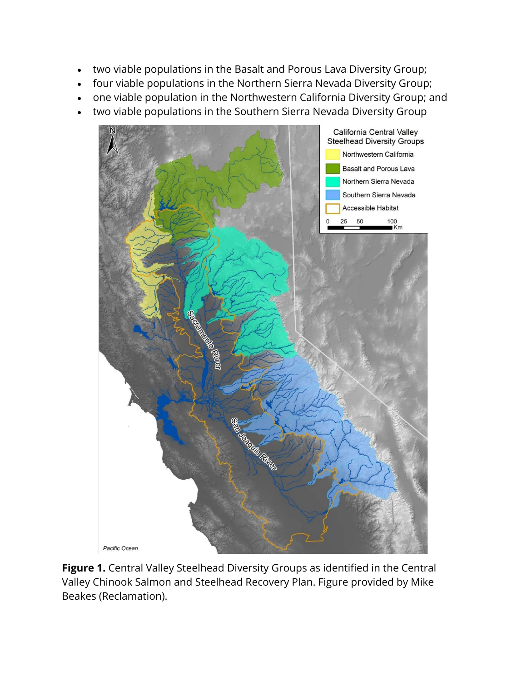- two viable populations in the Basalt and Porous Lava Diversity Group;
- four viable populations in the Northern Sierra Nevada Diversity Group;
- one viable population in the Northwestern California Diversity Group; and
- two viable populations in the Southern Sierra Nevada Diversity Group



**Figure 1.** Central Valley Steelhead Diversity Groups as identified in the Central Valley Chinook Salmon and Steelhead Recovery Plan. Figure provided by Mike Beakes (Reclamation).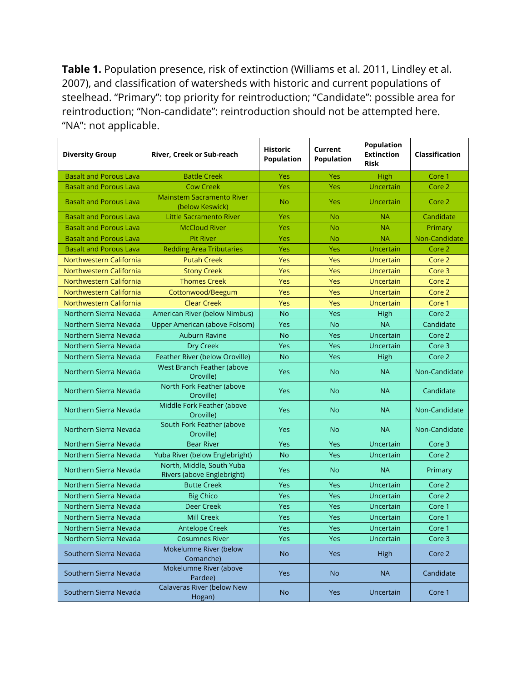**Table 1.** Population presence, risk of extinction (Williams et al. 2011, Lindley et al. 2007), and classification of watersheds with historic and current populations of steelhead. "Primary": top priority for reintroduction; "Candidate": possible area for reintroduction; "Non-candidate": reintroduction should not be attempted here. "NA": not applicable.

| <b>Diversity Group</b>        | River, Creek or Sub-reach                               | <b>Historic</b><br><b>Population</b> | Current<br><b>Population</b> | <b>Population</b><br><b>Extinction</b><br><b>Risk</b> | Classification    |
|-------------------------------|---------------------------------------------------------|--------------------------------------|------------------------------|-------------------------------------------------------|-------------------|
| <b>Basalt and Porous Lava</b> | <b>Battle Creek</b>                                     | Yes                                  | Yes                          | High                                                  | Core 1            |
| <b>Basalt and Porous Lava</b> | <b>Cow Creek</b>                                        | Yes                                  | Yes                          | Uncertain                                             | Core 2            |
| <b>Basalt and Porous Lava</b> | <b>Mainstem Sacramento River</b><br>(below Keswick)     | <b>No</b>                            | Yes                          | Uncertain                                             | Core 2            |
| <b>Basalt and Porous Lava</b> | Little Sacramento River                                 | Yes                                  | No                           | <b>NA</b>                                             | Candidate         |
| <b>Basalt and Porous Lava</b> | <b>McCloud River</b>                                    | Yes                                  | <b>No</b>                    | <b>NA</b>                                             | Primary           |
| <b>Basalt and Porous Lava</b> | <b>Pit River</b>                                        | Yes                                  | <b>No</b>                    | <b>NA</b>                                             | Non-Candidate     |
| <b>Basalt and Porous Lava</b> | <b>Redding Area Tributaries</b>                         | Yes                                  | Yes                          | Uncertain                                             | Core 2            |
| Northwestern California       | <b>Putah Creek</b>                                      | Yes                                  | Yes                          | Uncertain                                             | Core 2            |
| Northwestern California       | <b>Stony Creek</b>                                      | Yes                                  | Yes                          | Uncertain                                             | Core 3            |
| Northwestern California       | <b>Thomes Creek</b>                                     | Yes                                  | Yes                          | <b>Uncertain</b>                                      | Core 2            |
| Northwestern California       | Cottonwood/Beegum                                       | Yes                                  | Yes                          | Uncertain                                             | Core 2            |
| Northwestern California       | <b>Clear Creek</b>                                      | Yes                                  | Yes                          | Uncertain                                             | Core 1            |
| Northern Sierra Nevada        | American River (below Nimbus)                           | <b>No</b>                            | Yes                          | High                                                  | Core <sub>2</sub> |
| Northern Sierra Nevada        | Upper American (above Folsom)                           | Yes                                  | <b>No</b>                    | <b>NA</b>                                             | Candidate         |
| Northern Sierra Nevada        | <b>Auburn Ravine</b>                                    | <b>No</b>                            | Yes                          | Uncertain                                             | Core 2            |
| Northern Sierra Nevada        | Dry Creek                                               | Yes                                  | Yes                          | Uncertain                                             | Core 3            |
| Northern Sierra Nevada        | Feather River (below Oroville)                          | <b>No</b>                            | Yes                          | High                                                  | Core 2            |
| Northern Sierra Nevada        | West Branch Feather (above<br>Oroville)                 | Yes                                  | <b>No</b>                    | <b>NA</b>                                             | Non-Candidate     |
| Northern Sierra Nevada        | North Fork Feather (above<br>Oroville)                  | Yes                                  | <b>No</b>                    | <b>NA</b>                                             | Candidate         |
| Northern Sierra Nevada        | Middle Fork Feather (above<br>Oroville)                 | <b>Yes</b>                           | <b>No</b>                    | <b>NA</b>                                             | Non-Candidate     |
| Northern Sierra Nevada        | South Fork Feather (above<br>Oroville)                  | <b>Yes</b>                           | <b>No</b>                    | <b>NA</b>                                             | Non-Candidate     |
| Northern Sierra Nevada        | <b>Bear River</b>                                       | <b>Yes</b>                           | Yes                          | Uncertain                                             | Core 3            |
| Northern Sierra Nevada        | Yuba River (below Englebright)                          | <b>No</b>                            | Yes                          | Uncertain                                             | Core 2            |
| Northern Sierra Nevada        | North, Middle, South Yuba<br>Rivers (above Englebright) | Yes                                  | <b>No</b>                    | <b>NA</b>                                             | Primary           |
| Northern Sierra Nevada        | <b>Butte Creek</b>                                      | Yes                                  | Yes                          | Uncertain                                             | Core 2            |
| Northern Sierra Nevada        | <b>Big Chico</b>                                        | Yes                                  | Yes                          | Uncertain                                             | Core 2            |
| Northern Sierra Nevada        | <b>Deer Creek</b>                                       | Yes                                  | Yes                          | Uncertain                                             | Core 1            |
| Northern Sierra Nevada        | <b>Mill Creek</b>                                       | Yes                                  | Yes                          | Uncertain                                             | Core 1            |
| Northern Sierra Nevada        | <b>Antelope Creek</b>                                   | Yes                                  | Yes                          | Uncertain                                             | Core 1            |
| Northern Sierra Nevada        | <b>Cosumnes River</b>                                   | <b>Yes</b>                           | Yes                          | Uncertain                                             | Core 3            |
| Southern Sierra Nevada        | Mokelumne River (below<br>Comanche)                     | <b>No</b>                            | Yes                          | High                                                  | Core 2            |
| Southern Sierra Nevada        | Mokelumne River (above<br>Pardee)                       | <b>Yes</b>                           | <b>No</b>                    | <b>NA</b>                                             | Candidate         |
| Southern Sierra Nevada        | Calaveras River (below New<br>Hogan)                    | <b>No</b>                            | <b>Yes</b>                   | Uncertain                                             | Core 1            |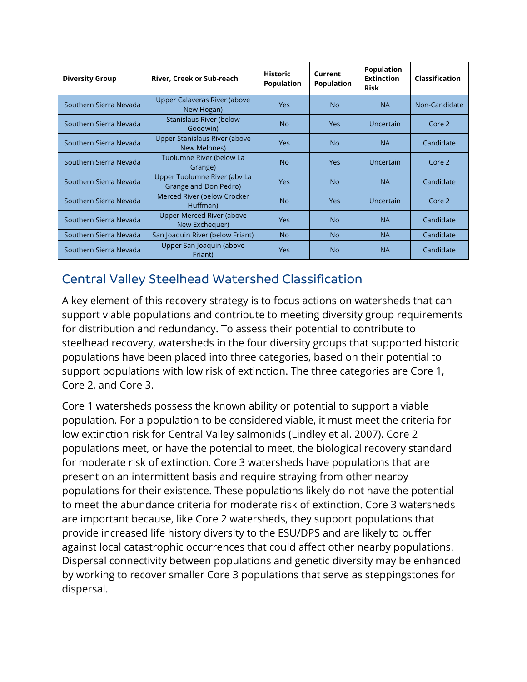| <b>Diversity Group</b> | River, Creek or Sub-reach                             | <b>Historic</b><br><b>Population</b> | Current<br><b>Population</b> | <b>Population</b><br><b>Extinction</b><br><b>Risk</b> | Classification |
|------------------------|-------------------------------------------------------|--------------------------------------|------------------------------|-------------------------------------------------------|----------------|
| Southern Sierra Nevada | Upper Calaveras River (above<br>New Hogan)            | <b>Yes</b>                           | <b>No</b>                    | <b>NA</b>                                             | Non-Candidate  |
| Southern Sierra Nevada | <b>Stanislaus River (below</b><br>Goodwin)            | N <sub>o</sub>                       | Yes                          | Uncertain                                             | Core 2         |
| Southern Sierra Nevada | Upper Stanislaus River (above<br>New Melones)         | <b>Yes</b>                           | N <sub>o</sub>               | <b>NA</b>                                             | Candidate      |
| Southern Sierra Nevada | Tuolumne River (below La<br>Grange)                   | N <sub>o</sub>                       | Yes                          | Uncertain                                             | Core 2         |
| Southern Sierra Nevada | Upper Tuolumne River (aby La<br>Grange and Don Pedro) | <b>Yes</b>                           | N <sub>o</sub>               | <b>NA</b>                                             | Candidate      |
| Southern Sierra Nevada | Merced River (below Crocker<br>Huffman)               | <b>No</b>                            | <b>Yes</b>                   | Uncertain                                             | Core 2         |
| Southern Sierra Nevada | Upper Merced River (above<br>New Exchequer)           | <b>Yes</b>                           | N <sub>o</sub>               | <b>NA</b>                                             | Candidate      |
| Southern Sierra Nevada | San Joaquin River (below Friant)                      | <b>No</b>                            | N <sub>o</sub>               | <b>NA</b>                                             | Candidate      |
| Southern Sierra Nevada | Upper San Joaquin (above<br>Friant)                   | <b>Yes</b>                           | <b>No</b>                    | <b>NA</b>                                             | Candidate      |

## Central Valley Steelhead Watershed Classification

A key element of this recovery strategy is to focus actions on watersheds that can support viable populations and contribute to meeting diversity group requirements for distribution and redundancy. To assess their potential to contribute to steelhead recovery, watersheds in the four diversity groups that supported historic populations have been placed into three categories, based on their potential to support populations with low risk of extinction. The three categories are Core 1, Core 2, and Core 3.

Core 1 watersheds possess the known ability or potential to support a viable population. For a population to be considered viable, it must meet the criteria for low extinction risk for Central Valley salmonids (Lindley et al. 2007). Core 2 populations meet, or have the potential to meet, the biological recovery standard for moderate risk of extinction. Core 3 watersheds have populations that are present on an intermittent basis and require straying from other nearby populations for their existence. These populations likely do not have the potential to meet the abundance criteria for moderate risk of extinction. Core 3 watersheds are important because, like Core 2 watersheds, they support populations that provide increased life history diversity to the ESU/DPS and are likely to buffer against local catastrophic occurrences that could affect other nearby populations. Dispersal connectivity between populations and genetic diversity may be enhanced by working to recover smaller Core 3 populations that serve as steppingstones for dispersal.